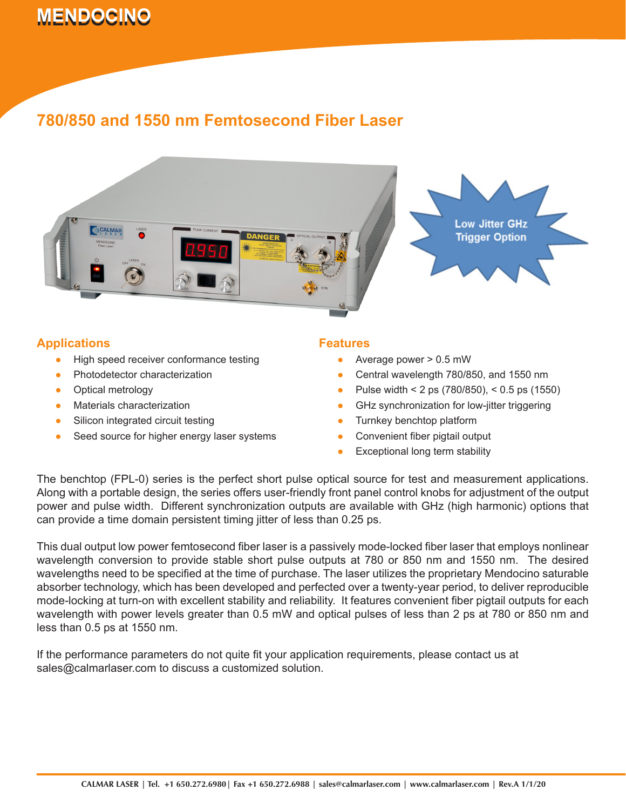# **MENDOCINO 780/850 and 1550 nm Femtosecond Fiber Laser**

## **780/850 and 1550 nm Femtosecond Fiber Laser**



### **Applications**

- High speed receiver conformance testing ●
- Photodetector characterization ●
- Optical metrology ●
- Materials characterization ●
- Silicon integrated circuit testing ●
- Seed source for higher energy laser systems ●

#### **Features**

- Average power > 0.5 mW ●
- Central wavelength 780/850, and 1550 nm ●
- Pulse width < 2 ps (780/850), < 0.5 ps (1550) ●
- GHz synchronization for low-jitter triggering ●
- Turnkey benchtop platform ●
- Convenient fiber pigtail output ●
- Exceptional long term stability ●

The benchtop (FPL-0) series is the perfect short pulse optical source for test and measurement applications. Along with a portable design, the series offers user-friendly front panel control knobs for adjustment of the output power and pulse width. Different synchronization outputs are available with GHz (high harmonic) options that can provide a time domain persistent timing jitter of less than 0.25 ps.

This dual output low power femtosecond fiber laser is a passively mode-locked fiber laser that employs nonlinear wavelength conversion to provide stable short pulse outputs at 780 or 850 nm and 1550 nm. The desired wavelengths need to be specified at the time of purchase. The laser utilizes the proprietary Mendocino saturable absorber technology, which has been developed and perfected over a twenty-year period, to deliver reproducible mode-locking at turn-on with excellent stability and reliability. It features convenient fiber pigtail outputs for each wavelength with power levels greater than 0.5 mW and optical pulses of less than 2 ps at 780 or 850 nm and less than 0.5 ps at 1550 nm.

If the performance parameters do not quite fit your application requirements, please contact us at sales@calmarlaser.com to discuss a customized solution.